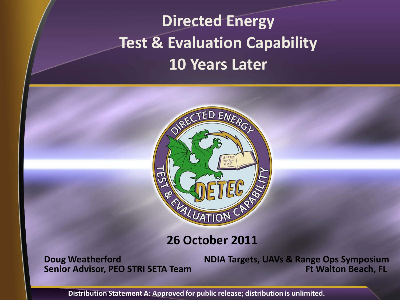## **Directed Energy Test & Evaluation Capability 10 Years Later**



#### **26 October 2011**

**Doug Weatherford Senior Advisor, PEO STRI SETA Team** **NDIA Targets, UAVs & Range Ops Symposium Ft Walton Beach, FL** 

**Distribution Statement A: Approved for public release; distribution is unlimited.**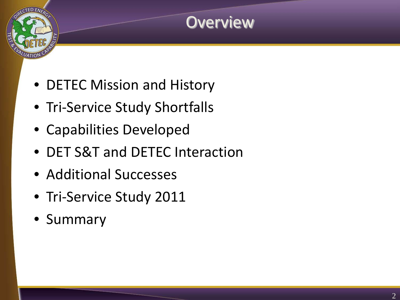### **Overview**

- DETEC Mission and History
- Tri-Service Study Shortfalls
- Capabilities Developed
- DET S&T and DETEC Interaction
- Additional Successes
- Tri-Service Study 2011
- Summary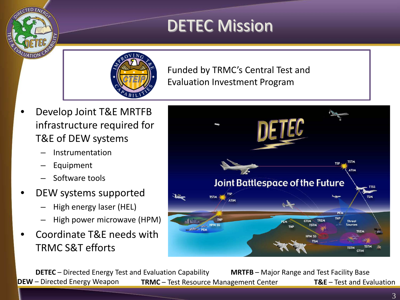### DETEC Mission



Funded by TRMC's Central Test and Evaluation Investment Program

- Develop Joint T&E MRTFB infrastructure required for T&E of DEW systems
	- Instrumentation
	- Equipment
	- Software tools
- DEW systems supported
	- High energy laser (HEL)
	- High power microwave (HPM)
- Coordinate T&E needs with TRMC S&T efforts



**DETEC** – Directed Energy Test and Evaluation Capability **MRTFB** – Major Range and Test Facility Base **DEW** – Directed Energy Weapon **TRMC** – Test Resource Management Center **T&E** – Test and Evaluation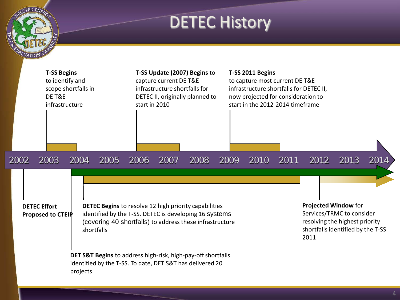### DETEC History

TED ENERGY

UATION

|      | <b>T-SS Begins</b><br>to identify and<br>scope shortfalls in<br>DE T&E<br>infrastructure |          |            | T-SS Update (2007) Begins to<br>capture current DE T&E<br>infrastructure shortfalls for<br>DETEC II, originally planned to<br>start in 2010 |      |                                                                                                                                                                                                                                                                                                                 |      | T-SS 2011 Begins<br>to capture most current DE T&E<br>infrastructure shortfalls for DETEC II,<br>now projected for consideration to<br>start in the 2012-2014 timeframe |      |                                                                                                                                  |      |      |
|------|------------------------------------------------------------------------------------------|----------|------------|---------------------------------------------------------------------------------------------------------------------------------------------|------|-----------------------------------------------------------------------------------------------------------------------------------------------------------------------------------------------------------------------------------------------------------------------------------------------------------------|------|-------------------------------------------------------------------------------------------------------------------------------------------------------------------------|------|----------------------------------------------------------------------------------------------------------------------------------|------|------|
| 2002 | 2003                                                                                     | 2004     | 2005       | 2006                                                                                                                                        | 2007 | 2008                                                                                                                                                                                                                                                                                                            | 2009 | 2010                                                                                                                                                                    | 2011 | 2012                                                                                                                             | 2013 | 2014 |
|      | <b>DETEC Effort</b><br>Proposed to CTEIP                                                 | projects | shortfalls |                                                                                                                                             |      | <b>DETEC Begins</b> to resolve 12 high priority capabilities<br>identified by the T-SS. DETEC is developing 16 systems<br>(covering 40 shortfalls) to address these infrastructure<br>DET S&T Begins to address high-risk, high-pay-off shortfalls<br>identified by the T-SS. To date, DET S&T has delivered 20 |      |                                                                                                                                                                         |      | Projected Window for<br>Services/TRMC to consider<br>resolving the highest priority<br>shortfalls identified by the T-SS<br>2011 |      |      |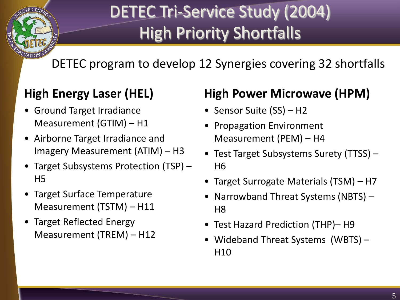# DETEC Tri-Service Study (2004) High Priority Shortfalls

DETEC program to develop 12 Synergies covering 32 shortfalls

#### **High Energy Laser (HEL)**

 $ATI$ 

- Ground Target Irradiance Measurement (GTIM) – H1
- Airborne Target Irradiance and Imagery Measurement (ATIM) – H3
- Target Subsystems Protection (TSP) H5
- Target Surface Temperature Measurement (TSTM) – H11
- Target Reflected Energy Measurement (TREM) – H12

#### **High Power Microwave (HPM)**

- Sensor Suite (SS) H2
- Propagation Environment Measurement (PEM) – H4
- Test Target Subsystems Surety (TTSS) H6
- Target Surrogate Materials (TSM) H7
- Narrowband Threat Systems (NBTS) H<sub>8</sub>
- Test Hazard Prediction (THP)– H9
- Wideband Threat Systems (WBTS) H<sub>10</sub>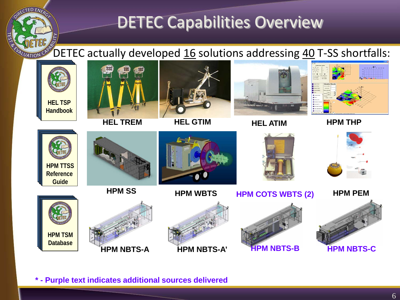### DETEC Capabilities Overview

DETEC actually developed  $16$  solutions addressing  $40$  T-SS shortfalls: ILUATION CA



**\* - Purple text indicates additional sources delivered**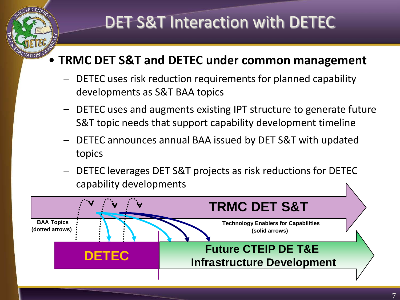## DET S&T Interaction with DETEC

#### • **TRMC DET S&T and DETEC under common management**

- DETEC uses risk reduction requirements for planned capability developments as S&T BAA topics
- DETEC uses and augments existing IPT structure to generate future S&T topic needs that support capability development timeline
- DETEC announces annual BAA issued by DET S&T with updated topics
- DETEC leverages DET S&T projects as risk reductions for DETEC capability developments

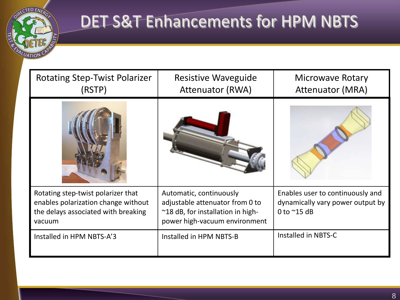

## DET S&T Enhancements for HPM NBTS

| <b>Rotating Step-Twist Polarizer</b><br>(RSTP)                                                                             | <b>Resistive Waveguide</b><br><b>Attenuator (RWA)</b>                                                                                     | <b>Microwave Rotary</b><br><b>Attenuator (MRA)</b>                                           |  |  |
|----------------------------------------------------------------------------------------------------------------------------|-------------------------------------------------------------------------------------------------------------------------------------------|----------------------------------------------------------------------------------------------|--|--|
|                                                                                                                            |                                                                                                                                           |                                                                                              |  |  |
| Rotating step-twist polarizer that<br>enables polarization change without<br>the delays associated with breaking<br>vacuum | Automatic, continuously<br>adjustable attenuator from 0 to<br>$\approx$ 18 dB, for installation in high-<br>power high-vacuum environment | Enables user to continuously and<br>dynamically vary power output by<br>0 to $^{\sim}$ 15 dB |  |  |
| Installed in HPM NBTS-A'3                                                                                                  | Installed in HPM NBTS-B                                                                                                                   | Installed in NBTS-C                                                                          |  |  |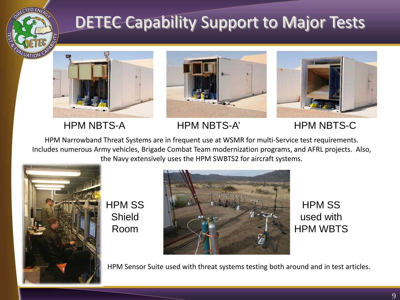

## DETEC Capability Support to Major Tests







HPM NBTS-A HPM NBTS-A' HPM NBTS-C

HPM Narrowband Threat Systems are in frequent use at WSMR for multi-Service test requirements. Includes numerous Army vehicles, Brigade Combat Team modernization programs, and AFRL projects. Also, the Navy extensively uses the HPM SWBTS2 for aircraft systems.



HPM SS Shield Room



HPM SS used with HPM WBTS

HPM Sensor Suite used with threat systems testing both around and in test articles.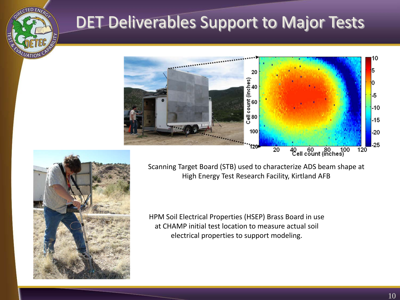### DET Deliverables Support to Major Tests





Scanning Target Board (STB) used to characterize ADS beam shape at High Energy Test Research Facility, Kirtland AFB

HPM Soil Electrical Properties (HSEP) Brass Board in use at CHAMP initial test location to measure actual soil electrical properties to support modeling.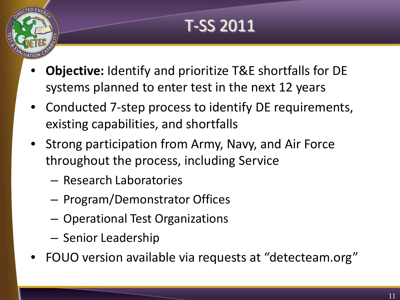# T-SS 2011

- **Objective:** Identify and prioritize T&E shortfalls for DE systems planned to enter test in the next 12 years
- Conducted 7-step process to identify DE requirements, existing capabilities, and shortfalls
- Strong participation from Army, Navy, and Air Force throughout the process, including Service
	- Research Laboratories
	- Program/Demonstrator Offices
	- Operational Test Organizations
	- Senior Leadership
- FOUO version available via requests at "detecteam.org"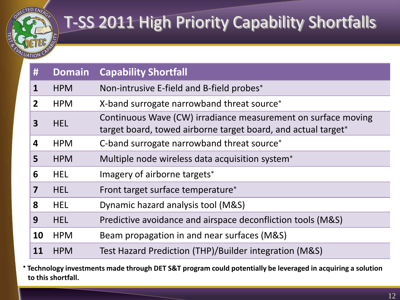

## T-SS 2011 High Priority Capability Shortfalls

| #              | <b>Domain</b> | <b>Capability Shortfall</b>                                                                                                    |
|----------------|---------------|--------------------------------------------------------------------------------------------------------------------------------|
| 1              | <b>HPM</b>    | Non-intrusive E-field and B-field probes*                                                                                      |
| $\overline{2}$ | <b>HPM</b>    | X-band surrogate narrowband threat source*                                                                                     |
| 3              | <b>HEL</b>    | Continuous Wave (CW) irradiance measurement on surface moving<br>target board, towed airborne target board, and actual target* |
| 4              | <b>HPM</b>    | C-band surrogate narrowband threat source*                                                                                     |
| 5              | <b>HPM</b>    | Multiple node wireless data acquisition system <sup>*</sup>                                                                    |
| 6              | <b>HEL</b>    | Imagery of airborne targets*                                                                                                   |
| 7              | <b>HEL</b>    | Front target surface temperature*                                                                                              |
| 8              | <b>HEL</b>    | Dynamic hazard analysis tool (M&S)                                                                                             |
| 9              | <b>HEL</b>    | Predictive avoidance and airspace deconfliction tools (M&S)                                                                    |
| 10             | <b>HPM</b>    | Beam propagation in and near surfaces (M&S)                                                                                    |
| 11             | <b>HPM</b>    | Test Hazard Prediction (THP)/Builder integration (M&S)                                                                         |

<sup>∗</sup> **Technology investments made through DET S&T program could potentially be leveraged in acquiring a solution to this shortfall.**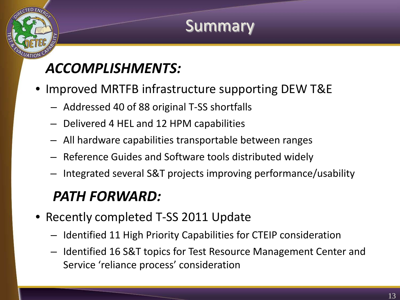### **Summary**

### *ACCOMPLISHMENTS:*

- Improved MRTFB infrastructure supporting DEW T&E
	- Addressed 40 of 88 original T-SS shortfalls
	- Delivered 4 HEL and 12 HPM capabilities
	- All hardware capabilities transportable between ranges
	- Reference Guides and Software tools distributed widely
	- Integrated several S&T projects improving performance/usability

### *PATH FORWARD:*

- Recently completed T-SS 2011 Update
	- Identified 11 High Priority Capabilities for CTEIP consideration
	- Identified 16 S&T topics for Test Resource Management Center and Service 'reliance process' consideration